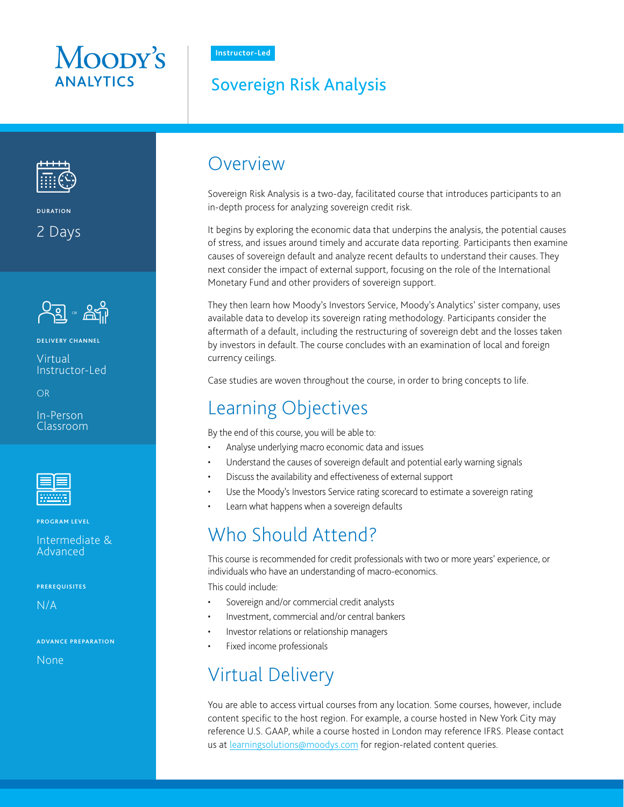# Moopy's **ANAIYTICS**

**Instructor-Led**

### Sovereign Risk Analysis



**DURATION**

2 Days



#### **DELIVERY CHANNEL**

Virtual Instructor-Led

OR

In-Person Classroom



**PROGRAM LEVEL**

Intermediate & Advanced

**PREREQUISITES**

N/A

**ADVANCE PREPARATION**

None

### Overview

Sovereign Risk Analysis is a two-day, facilitated course that introduces participants to an in-depth process for analyzing sovereign credit risk.

It begins by exploring the economic data that underpins the analysis, the potential causes of stress, and issues around timely and accurate data reporting. Participants then examine causes of sovereign default and analyze recent defaults to understand their causes. They next consider the impact of external support, focusing on the role of the International Monetary Fund and other providers of sovereign support.

They then learn how Moody's Investors Service, Moody's Analytics' sister company, uses available data to develop its sovereign rating methodology. Participants consider the aftermath of a default, including the restructuring of sovereign debt and the losses taken by investors in default. The course concludes with an examination of local and foreign currency ceilings.

Case studies are woven throughout the course, in order to bring concepts to life.

## Learning Objectives

By the end of this course, you will be able to:

- Analyse underlying macro economic data and issues
- Understand the causes of sovereign default and potential early warning signals
- Discuss the availability and effectiveness of external support
- Use the Moody's Investors Service rating scorecard to estimate a sovereign rating
- Learn what happens when a sovereign defaults

## Who Should Attend?

This course is recommended for credit professionals with two or more years' experience, or individuals who have an understanding of macro-economics.

This could include:

- Sovereign and/or commercial credit analysts
- Investment, commercial and/or central bankers
- Investor relations or relationship managers
- Fixed income professionals

# Virtual Delivery

You are able to access virtual courses from any location. Some courses, however, include content specific to the host region. For example, a course hosted in New York City may reference U.S. GAAP, while a course hosted in London may reference IFRS. Please contact us at [learningsolutions@moodys.com](http://learningsolutions@moodys.com) for region-related content queries.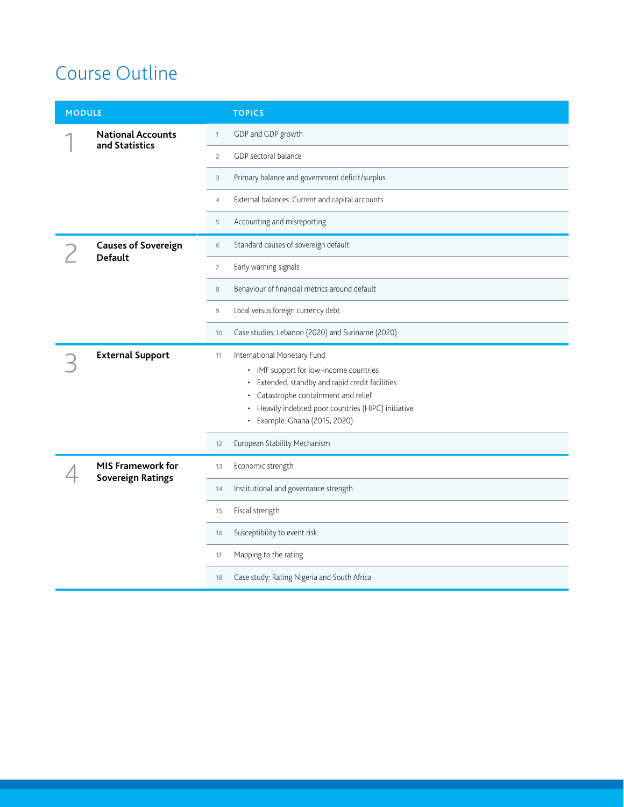# Course Outline

|  | <b>MODULE</b>                                        |                | <b>TOPICS</b>                                                                                                                                                                                                                                            |
|--|------------------------------------------------------|----------------|----------------------------------------------------------------------------------------------------------------------------------------------------------------------------------------------------------------------------------------------------------|
|  | <b>National Accounts</b><br>and Statistics           | $\mathbf{1}$   | GDP and GDP growth                                                                                                                                                                                                                                       |
|  |                                                      | $\overline{2}$ | GDP sectoral balance                                                                                                                                                                                                                                     |
|  |                                                      | 3              | Primary balance and government deficit/surplus                                                                                                                                                                                                           |
|  |                                                      | $\overline{4}$ | External balances: Current and capital accounts                                                                                                                                                                                                          |
|  |                                                      | 5              | Accounting and misreporting                                                                                                                                                                                                                              |
|  | <b>Causes of Sovereign</b><br><b>Default</b>         | 6              | Standard causes of sovereign default                                                                                                                                                                                                                     |
|  |                                                      | $\overline{7}$ | Early warning signals                                                                                                                                                                                                                                    |
|  |                                                      | 8              | Behaviour of financial metrics around default                                                                                                                                                                                                            |
|  |                                                      | $\overline{9}$ | Local versus foreign currency debt                                                                                                                                                                                                                       |
|  |                                                      | 10             | Case studies: Lebanon (2020) and Suriname (2020)                                                                                                                                                                                                         |
|  | <b>External Support</b>                              | 11             | International Monetary Fund<br>• IMF support for low-income countries<br>• Extended, standby and rapid credit facilities<br>• Catastrophe containment and relief<br>• Heavily indebted poor countries (HIPC) initiative<br>• Example: Ghana (2015, 2020) |
|  |                                                      | 12             | European Stability Mechanism                                                                                                                                                                                                                             |
|  | <b>MIS Framework for</b><br><b>Sovereign Ratings</b> | 13             | Economic strength                                                                                                                                                                                                                                        |
|  |                                                      | 14             | Institutional and governance strength                                                                                                                                                                                                                    |
|  |                                                      | 15             | Fiscal strength                                                                                                                                                                                                                                          |
|  |                                                      | 16             | Susceptibility to event risk                                                                                                                                                                                                                             |
|  |                                                      | 17             | Mapping to the rating                                                                                                                                                                                                                                    |
|  |                                                      | 18             | Case study: Rating Nigeria and South Africa                                                                                                                                                                                                              |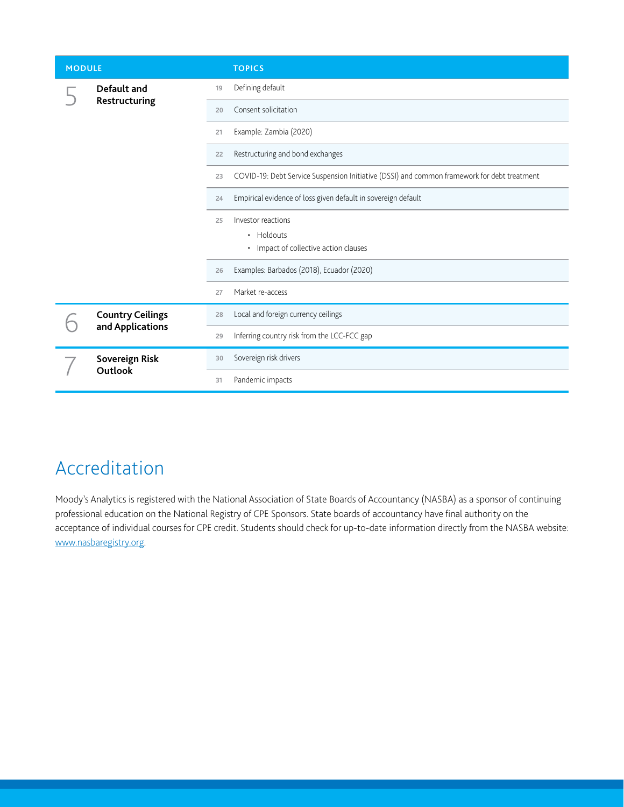| <b>MODULE</b> |                                             |    | <b>TOPICS</b>                                                                               |
|---------------|---------------------------------------------|----|---------------------------------------------------------------------------------------------|
|               | Default and<br>Restructuring                | 19 | Defining default                                                                            |
|               |                                             | 20 | Consent solicitation                                                                        |
|               |                                             | 21 | Example: Zambia (2020)                                                                      |
|               |                                             | 22 | Restructuring and bond exchanges                                                            |
|               |                                             | 23 | COVID-19: Debt Service Suspension Initiative (DSSI) and common framework for debt treatment |
|               |                                             | 24 | Empirical evidence of loss given default in sovereign default                               |
|               |                                             | 25 | Investor reactions                                                                          |
|               |                                             |    | • Holdouts<br>• Impact of collective action clauses                                         |
|               |                                             | 26 | Examples: Barbados (2018), Ecuador (2020)                                                   |
|               |                                             | 27 | Market re-access                                                                            |
|               | <b>Country Ceilings</b><br>and Applications | 28 | Local and foreign currency ceilings                                                         |
|               |                                             | 29 | Inferring country risk from the LCC-FCC gap                                                 |
|               | Sovereign Risk<br><b>Outlook</b>            | 30 | Sovereign risk drivers                                                                      |
|               |                                             | 31 | Pandemic impacts                                                                            |

# Accreditation

Moody's Analytics is registered with the National Association of State Boards of Accountancy (NASBA) as a sponsor of continuing professional education on the National Registry of CPE Sponsors. State boards of accountancy have final authority on the acceptance of individual courses for CPE credit. Students should check for up-to-date information directly from the NASBA website: www.nasbaregistry.org.